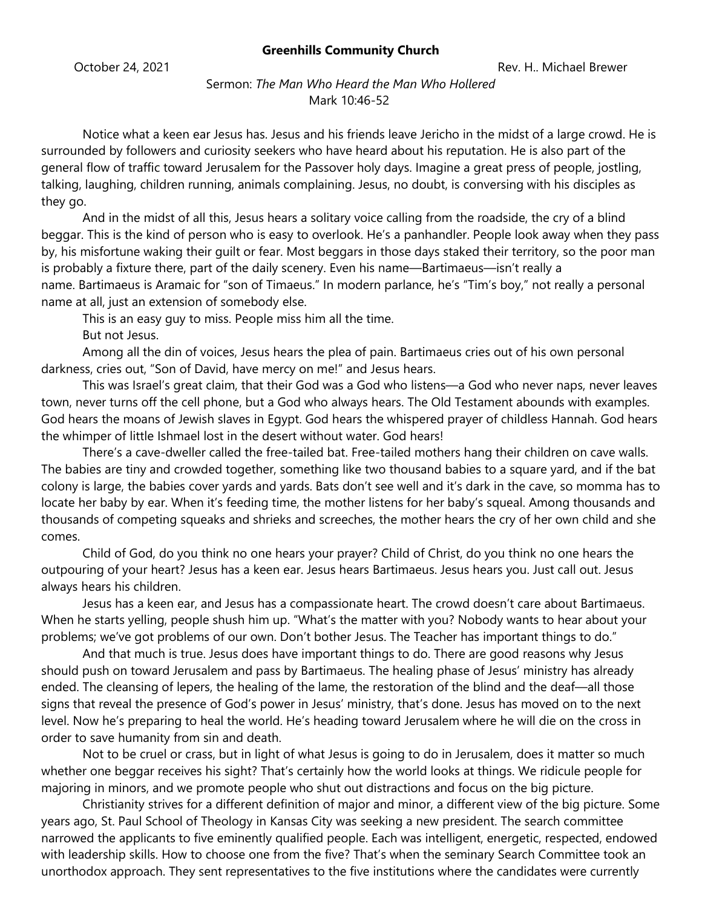## **Greenhills Community Church**

Sermon: *The Man Who Heard the Man Who Hollered* Mark 10:46-52

Notice what a keen ear Jesus has. Jesus and his friends leave Jericho in the midst of a large crowd. He is surrounded by followers and curiosity seekers who have heard about his reputation. He is also part of the general flow of traffic toward Jerusalem for the Passover holy days. Imagine a great press of people, jostling, talking, laughing, children running, animals complaining. Jesus, no doubt, is conversing with his disciples as they go.

And in the midst of all this, Jesus hears a solitary voice calling from the roadside, the cry of a blind beggar. This is the kind of person who is easy to overlook. He's a panhandler. People look away when they pass by, his misfortune waking their guilt or fear. Most beggars in those days staked their territory, so the poor man is probably a fixture there, part of the daily scenery. Even his name—Bartimaeus—isn't really a name. Bartimaeus is Aramaic for "son of Timaeus." In modern parlance, he's "Tim's boy," not really a personal name at all, just an extension of somebody else.

This is an easy guy to miss. People miss him all the time. But not Jesus.

Among all the din of voices, Jesus hears the plea of pain. Bartimaeus cries out of his own personal darkness, cries out, "Son of David, have mercy on me!" and Jesus hears.

This was Israel's great claim, that their God was a God who listens—a God who never naps, never leaves town, never turns off the cell phone, but a God who always hears. The Old Testament abounds with examples. God hears the moans of Jewish slaves in Egypt. God hears the whispered prayer of childless Hannah. God hears the whimper of little Ishmael lost in the desert without water. God hears!

There's a cave-dweller called the free-tailed bat. Free-tailed mothers hang their children on cave walls. The babies are tiny and crowded together, something like two thousand babies to a square yard, and if the bat colony is large, the babies cover yards and yards. Bats don't see well and it's dark in the cave, so momma has to locate her baby by ear. When it's feeding time, the mother listens for her baby's squeal. Among thousands and thousands of competing squeaks and shrieks and screeches, the mother hears the cry of her own child and she comes.

Child of God, do you think no one hears your prayer? Child of Christ, do you think no one hears the outpouring of your heart? Jesus has a keen ear. Jesus hears Bartimaeus. Jesus hears you. Just call out. Jesus always hears his children.

Jesus has a keen ear, and Jesus has a compassionate heart. The crowd doesn't care about Bartimaeus. When he starts yelling, people shush him up. "What's the matter with you? Nobody wants to hear about your problems; we've got problems of our own. Don't bother Jesus. The Teacher has important things to do."

And that much is true. Jesus does have important things to do. There are good reasons why Jesus should push on toward Jerusalem and pass by Bartimaeus. The healing phase of Jesus' ministry has already ended. The cleansing of lepers, the healing of the lame, the restoration of the blind and the deaf—all those signs that reveal the presence of God's power in Jesus' ministry, that's done. Jesus has moved on to the next level. Now he's preparing to heal the world. He's heading toward Jerusalem where he will die on the cross in order to save humanity from sin and death.

Not to be cruel or crass, but in light of what Jesus is going to do in Jerusalem, does it matter so much whether one beggar receives his sight? That's certainly how the world looks at things. We ridicule people for majoring in minors, and we promote people who shut out distractions and focus on the big picture.

Christianity strives for a different definition of major and minor, a different view of the big picture. Some years ago, St. Paul School of Theology in Kansas City was seeking a new president. The search committee narrowed the applicants to five eminently qualified people. Each was intelligent, energetic, respected, endowed with leadership skills. How to choose one from the five? That's when the seminary Search Committee took an unorthodox approach. They sent representatives to the five institutions where the candidates were currently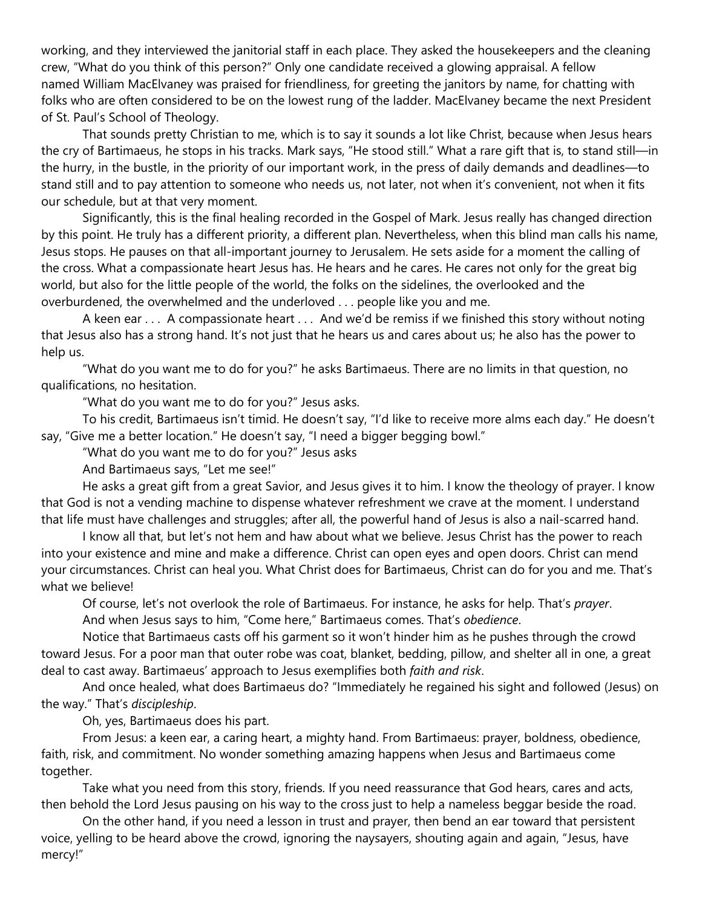working, and they interviewed the janitorial staff in each place. They asked the housekeepers and the cleaning crew, "What do you think of this person?" Only one candidate received a glowing appraisal. A fellow named William MacElvaney was praised for friendliness, for greeting the janitors by name, for chatting with folks who are often considered to be on the lowest rung of the ladder. MacElvaney became the next President of St. Paul's School of Theology.

That sounds pretty Christian to me, which is to say it sounds a lot like Christ, because when Jesus hears the cry of Bartimaeus, he stops in his tracks. Mark says, "He stood still." What a rare gift that is, to stand still—in the hurry, in the bustle, in the priority of our important work, in the press of daily demands and deadlines—to stand still and to pay attention to someone who needs us, not later, not when it's convenient, not when it fits our schedule, but at that very moment.

Significantly, this is the final healing recorded in the Gospel of Mark. Jesus really has changed direction by this point. He truly has a different priority, a different plan. Nevertheless, when this blind man calls his name, Jesus stops. He pauses on that all-important journey to Jerusalem. He sets aside for a moment the calling of the cross. What a compassionate heart Jesus has. He hears and he cares. He cares not only for the great big world, but also for the little people of the world, the folks on the sidelines, the overlooked and the overburdened, the overwhelmed and the underloved . . . people like you and me.

A keen ear . . . A compassionate heart . . . And we'd be remiss if we finished this story without noting that Jesus also has a strong hand. It's not just that he hears us and cares about us; he also has the power to help us.

"What do you want me to do for you?" he asks Bartimaeus. There are no limits in that question, no qualifications, no hesitation.

"What do you want me to do for you?" Jesus asks.

To his credit, Bartimaeus isn't timid. He doesn't say, "I'd like to receive more alms each day." He doesn't say, "Give me a better location." He doesn't say, "I need a bigger begging bowl."

"What do you want me to do for you?" Jesus asks

And Bartimaeus says, "Let me see!"

He asks a great gift from a great Savior, and Jesus gives it to him. I know the theology of prayer. I know that God is not a vending machine to dispense whatever refreshment we crave at the moment. I understand that life must have challenges and struggles; after all, the powerful hand of Jesus is also a nail-scarred hand.

I know all that, but let's not hem and haw about what we believe. Jesus Christ has the power to reach into your existence and mine and make a difference. Christ can open eyes and open doors. Christ can mend your circumstances. Christ can heal you. What Christ does for Bartimaeus, Christ can do for you and me. That's what we believe!

Of course, let's not overlook the role of Bartimaeus. For instance, he asks for help. That's *prayer*. And when Jesus says to him, "Come here," Bartimaeus comes. That's *obedience*.

Notice that Bartimaeus casts off his garment so it won't hinder him as he pushes through the crowd toward Jesus. For a poor man that outer robe was coat, blanket, bedding, pillow, and shelter all in one, a great deal to cast away. Bartimaeus' approach to Jesus exemplifies both *faith and risk*.

And once healed, what does Bartimaeus do? "Immediately he regained his sight and followed (Jesus) on the way." That's *discipleship*.

Oh, yes, Bartimaeus does his part.

From Jesus: a keen ear, a caring heart, a mighty hand. From Bartimaeus: prayer, boldness, obedience, faith, risk, and commitment. No wonder something amazing happens when Jesus and Bartimaeus come together.

Take what you need from this story, friends. If you need reassurance that God hears, cares and acts, then behold the Lord Jesus pausing on his way to the cross just to help a nameless beggar beside the road.

On the other hand, if you need a lesson in trust and prayer, then bend an ear toward that persistent voice, yelling to be heard above the crowd, ignoring the naysayers, shouting again and again, "Jesus, have mercy!"